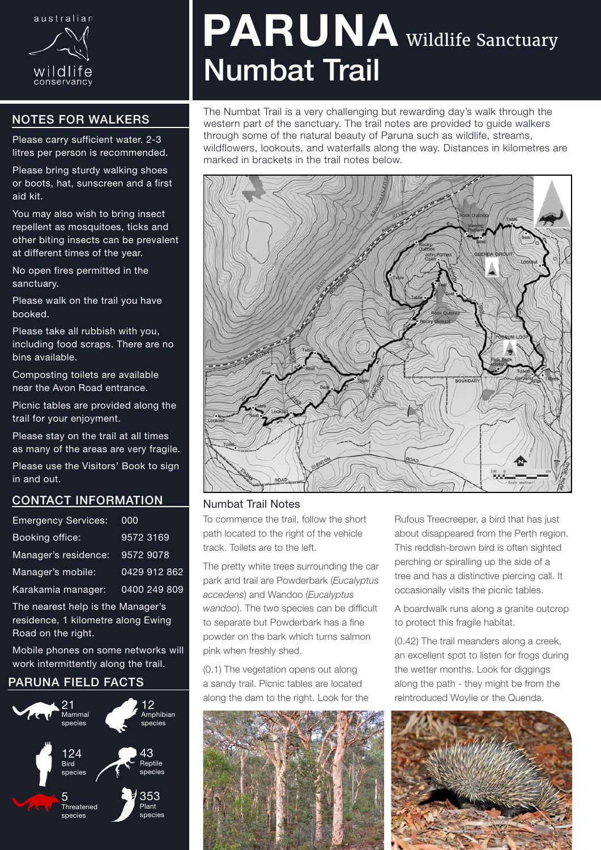

## NOTES FOR WALKERS

Please carry sufficient water. 2-3 litres per person is recommended.

Please bring sturdy walking shoes or boots, hat, sunscreen and a first aid kit.

You may also wish to bring insect repellent as mosquitoes, ticks and other biting insects can be prevalent at different times of the year.

No open fires permitted in the sanctuary.

Please walk on the trail you have booked.

Please take all rubbish with you, including food scraps. There are no bins available.

Composting toilets are available near the Avon Road entrance.

Picnic tables are provided along the trail for your enjoyment.

Please stay on the trail at all times as many of the areas are very fragile.

Please use the Visitors' Book to sign in and out.

### CONTACT INFORMATION

| <b>Emergency Services:</b> | 000          |
|----------------------------|--------------|
| Booking office:            | 9572 3169    |
| Manager's residence:       | 9572 9078    |
| Manager's mobile:          | 0429 912 862 |
| Karakamia manager:         | 0400 249 809 |

The nearest help is the Manager's residence, 1 kilometre along Ewing Road on the right.

Mobile phones on some networks will work intermittently along the trail.

### PARUNA FIELD FACTS



# PARUNA Wildlife Sanctuary Numbat Trail

The Numbat Trail is a very challenging but rewarding day's walk through the western part of the sanctuary. The trail notes are provided to guide walkers through some of the natural beauty of Paruna such as wildlife, streams, wildflowers, lookouts, and waterfalls along the way. Distances in kilometres are marked in brackets in the trail notes below.



#### Numbat Trail Notes

To commence the trail, follow the short path located to the right of the vehicle track. Toilets are to the left.

The pretty white trees surrounding the car park and trail are Powderbark (*Eucalyptus accedens*) and Wandoo (*Eucalyptus wandoo*). The two species can be difficult to separate but Powderbark has a fine powder on the bark which turns salmon pink when freshly shed.

(0.1) The vegetation opens out along a sandy trail. Picnic tables are located along the dam to the right. Look for the



Rufous Treecreeper, a bird that has just about disappeared from the Perth region. This reddish-brown bird is often sighted perching or spiralling up the side of a tree and has a distinctive piercing call. It occasionally visits the picnic tables.

A boardwalk runs along a granite outcrop to protect this fragile habitat.

(0.42) The trail meanders along a creek, an excellent spot to listen for frogs during the wetter months. Look for diggings along the path - they might be from the reintroduced Woylie or the Quenda.

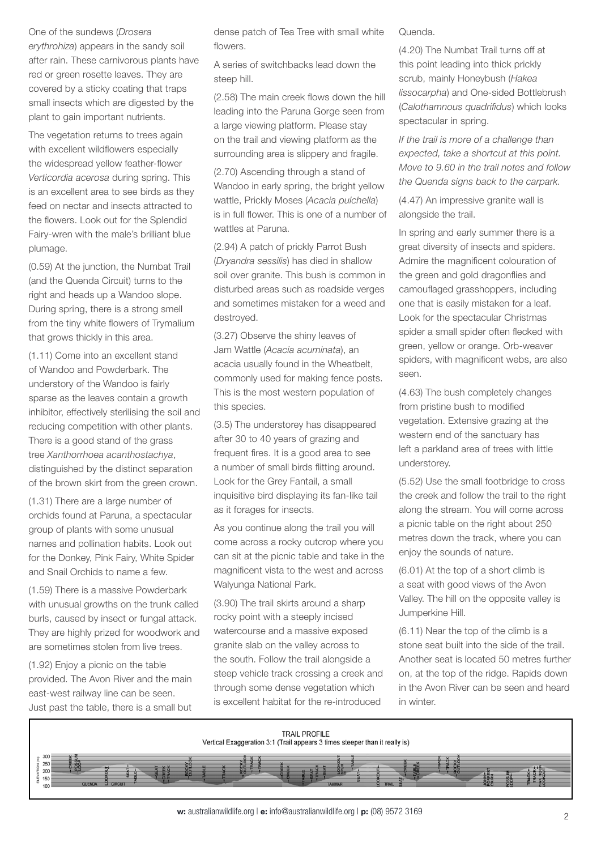### One of the sundews (*Drosera erythrohiza*) appears in the sandy soil after rain. These carnivorous plants have red or green rosette leaves. They are covered by a sticky coating that traps small insects which are digested by the plant to gain important nutrients.

The vegetation returns to trees again with excellent wildflowers especially the widespread yellow feather-flower *Verticordia acerosa* during spring. This is an excellent area to see birds as they feed on nectar and insects attracted to the flowers. Look out for the Splendid Fairy-wren with the male's brilliant blue plumage.

(0.59) At the junction, the Numbat Trail (and the Quenda Circuit) turns to the right and heads up a Wandoo slope. During spring, there is a strong smell from the tiny white flowers of Trymalium that grows thickly in this area.

(1.11) Come into an excellent stand of Wandoo and Powderbark. The understory of the Wandoo is fairly sparse as the leaves contain a growth inhibitor, effectively sterilising the soil and reducing competition with other plants. There is a good stand of the grass tree *Xanthorrhoea acanthostachya*, distinguished by the distinct separation of the brown skirt from the green crown.

(1.31) There are a large number of orchids found at Paruna, a spectacular group of plants with some unusual names and pollination habits. Look out for the Donkey, Pink Fairy, White Spider and Snail Orchids to name a few.

(1.59) There is a massive Powderbark with unusual growths on the trunk called burls, caused by insect or fungal attack. They are highly prized for woodwork and are sometimes stolen from live trees.

(1.92) Enjoy a picnic on the table provided. The Avon River and the main east-west railway line can be seen. Just past the table, there is a small but dense patch of Tea Tree with small white flowers.

A series of switchbacks lead down the steep hill.

(2.58) The main creek flows down the hill leading into the Paruna Gorge seen from a large viewing platform. Please stay on the trail and viewing platform as the surrounding area is slippery and fragile.

(2.70) Ascending through a stand of Wandoo in early spring, the bright yellow wattle, Prickly Moses (*Acacia pulchella*) is in full flower. This is one of a number of wattles at Paruna.

(2.94) A patch of prickly Parrot Bush (*Dryandra sessilis*) has died in shallow soil over granite. This bush is common in disturbed areas such as roadside verges and sometimes mistaken for a weed and destroyed.

(3.27) Observe the shiny leaves of Jam Wattle (*Acacia acuminata*), an acacia usually found in the Wheatbelt, commonly used for making fence posts. This is the most western population of this species.

(3.5) The understorey has disappeared after 30 to 40 years of grazing and frequent fires. It is a good area to see a number of small birds flitting around. Look for the Grey Fantail, a small inquisitive bird displaying its fan-like tail as it forages for insects.

As you continue along the trail you will come across a rocky outcrop where you can sit at the picnic table and take in the magnificent vista to the west and across Walyunga National Park.

(3.90) The trail skirts around a sharp rocky point with a steeply incised watercourse and a massive exposed granite slab on the valley across to the south. Follow the trail alongside a steep vehicle track crossing a creek and through some dense vegetation which is excellent habitat for the re-introduced

Quenda.

(4.20) The Numbat Trail turns off at this point leading into thick prickly scrub, mainly Honeybush (*Hakea lissocarpha*) and One-sided Bottlebrush (*Calothamnous quadrifidus*) which looks spectacular in spring.

*If the trail is more of a challenge than expected, take a shortcut at this point. Move to 9.60 in the trail notes and follow the Quenda signs back to the carpark.*

(4.47) An impressive granite wall is alongside the trail.

In spring and early summer there is a great diversity of insects and spiders. Admire the magnificent colouration of the green and gold dragonflies and camouflaged grasshoppers, including one that is easily mistaken for a leaf. Look for the spectacular Christmas spider a small spider often flecked with green, yellow or orange. Orb-weaver spiders, with magnificent webs, are also seen.

(4.63) The bush completely changes from pristine bush to modified vegetation. Extensive grazing at the western end of the sanctuary has left a parkland area of trees with little understorey.

(5.52) Use the small footbridge to cross the creek and follow the trail to the right along the stream. You will come across a picnic table on the right about 250 metres down the track, where you can enjoy the sounds of nature.

(6.01) At the top of a short climb is a seat with good views of the Avon Valley. The hill on the opposite valley is Jumperkine Hill.

(6.11) Near the top of the climb is a stone seat built into the side of the trail. Another seat is located 50 metres further on, at the top of the ridge. Rapids down in the Avon River can be seen and heard in winter.



w: australianwildlife.org | e: info@australianwildlife.org | p: (08) 9572 3169